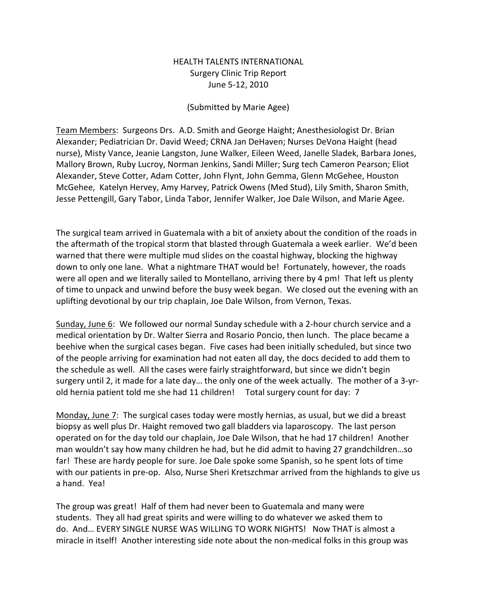## HEALTH TALENTS INTERNATIONAL Surgery Clinic Trip Report June 5-12, 2010

## (Submitted by Marie Agee)

Team Members: Surgeons Drs. A.D. Smith and George Haight; Anesthesiologist Dr. Brian Alexander; Pediatrician Dr. David Weed; CRNA Jan DeHaven; Nurses DeVona Haight (head nurse), Misty Vance, Jeanie Langston, June Walker, Eileen Weed, Janelle Sladek, Barbara Jones, Mallory Brown, Ruby Lucroy, Norman Jenkins, Sandi Miller; Surg tech Cameron Pearson; Eliot Alexander, Steve Cotter, Adam Cotter, John Flynt, John Gemma, Glenn McGehee, Houston McGehee, Katelyn Hervey, Amy Harvey, Patrick Owens (Med Stud), Lily Smith, Sharon Smith, Jesse Pettengill, Gary Tabor, Linda Tabor, Jennifer Walker, Joe Dale Wilson, and Marie Agee.

The surgical team arrived in Guatemala with a bit of anxiety about the condition of the roads in the aftermath of the tropical storm that blasted through Guatemala a week earlier. We'd been warned that there were multiple mud slides on the coastal highway, blocking the highway down to only one lane. What a nightmare THAT would be! Fortunately, however, the roads were all open and we literally sailed to Montellano, arriving there by 4 pm! That left us plenty of time to unpack and unwind before the busy week began. We closed out the evening with an uplifting devotional by our trip chaplain, Joe Dale Wilson, from Vernon, Texas.

Sunday, June 6: We followed our normal Sunday schedule with a 2-hour church service and a medical orientation by Dr. Walter Sierra and Rosario Poncio, then lunch. The place became a beehive when the surgical cases began. Five cases had been initially scheduled, but since two of the people arriving for examination had not eaten all day, the docs decided to add them to the schedule as well. All the cases were fairly straightforward, but since we didn't begin surgery until 2, it made for a late day… the only one of the week actually. The mother of a 3-yrold hernia patient told me she had 11 children! Total surgery count for day: 7

Monday, June 7: The surgical cases today were mostly hernias, as usual, but we did a breast biopsy as well plus Dr. Haight removed two gall bladders via laparoscopy. The last person operated on for the day told our chaplain, Joe Dale Wilson, that he had 17 children! Another man wouldn't say how many children he had, but he did admit to having 27 grandchildren…so far! These are hardy people for sure. Joe Dale spoke some Spanish, so he spent lots of time with our patients in pre-op. Also, Nurse Sheri Kretszchmar arrived from the highlands to give us a hand. Yea!

The group was great! Half of them had never been to Guatemala and many were students. They all had great spirits and were willing to do whatever we asked them to do. And… EVERY SINGLE NURSE WAS WILLING TO WORK NIGHTS! Now THAT is almost a miracle in itself! Another interesting side note about the non-medical folks in this group was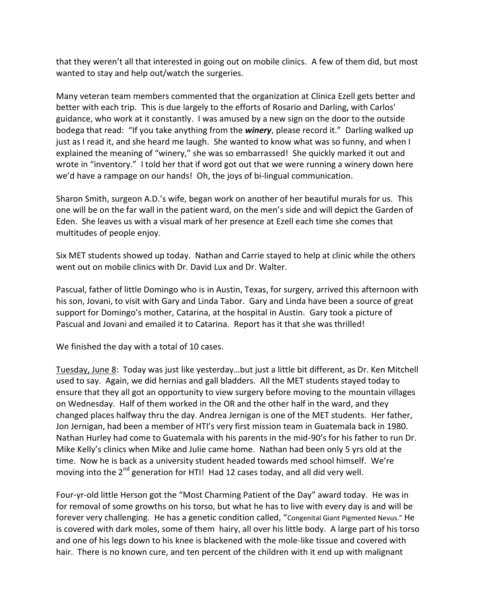that they weren't all that interested in going out on mobile clinics. A few of them did, but most wanted to stay and help out/watch the surgeries.

Many veteran team members commented that the organization at Clinica Ezell gets better and better with each trip. This is due largely to the efforts of Rosario and Darling, with Carlos' guidance, who work at it constantly. I was amused by a new sign on the door to the outside bodega that read: "If you take anything from the *winery*, please record it." Darling walked up just as I read it, and she heard me laugh. She wanted to know what was so funny, and when I explained the meaning of "winery," she was so embarrassed! She quickly marked it out and wrote in "inventory." I told her that if word got out that we were running a winery down here we'd have a rampage on our hands! Oh, the joys of bi-lingual communication.

Sharon Smith, surgeon A.D.'s wife, began work on another of her beautiful murals for us. This one will be on the far wall in the patient ward, on the men's side and will depict the Garden of Eden. She leaves us with a visual mark of her presence at Ezell each time she comes that multitudes of people enjoy.

Six MET students showed up today. Nathan and Carrie stayed to help at clinic while the others went out on mobile clinics with Dr. David Lux and Dr. Walter.

Pascual, father of little Domingo who is in Austin, Texas, for surgery, arrived this afternoon with his son, Jovani, to visit with Gary and Linda Tabor. Gary and Linda have been a source of great support for Domingo's mother, Catarina, at the hospital in Austin. Gary took a picture of Pascual and Jovani and emailed it to Catarina. Report has it that she was thrilled!

We finished the day with a total of 10 cases.

Tuesday, June 8: Today was just like yesterday…but just a little bit different, as Dr. Ken Mitchell used to say. Again, we did hernias and gall bladders. All the MET students stayed today to ensure that they all got an opportunity to view surgery before moving to the mountain villages on Wednesday. Half of them worked in the OR and the other half in the ward, and they changed places halfway thru the day. Andrea Jernigan is one of the MET students. Her father, Jon Jernigan, had been a member of HTI's very first mission team in Guatemala back in 1980. Nathan Hurley had come to Guatemala with his parents in the mid-90's for his father to run Dr. Mike Kelly's clinics when Mike and Julie came home. Nathan had been only 5 yrs old at the time. Now he is back as a university student headed towards med school himself. We're moving into the  $2^{nd}$  generation for HTI! Had 12 cases today, and all did very well.

Four-yr-old little Herson got the "Most Charming Patient of the Day" award today. He was in for removal of some growths on his torso, but what he has to live with every day is and will be forever very challenging. He has a genetic condition called, "Congenital Giant Pigmented Nevus." He is covered with dark moles, some of them hairy, all over his little body. A large part of his torso and one of his legs down to his knee is blackened with the mole-like tissue and covered with hair. There is no known cure, and ten percent of the children with it end up with malignant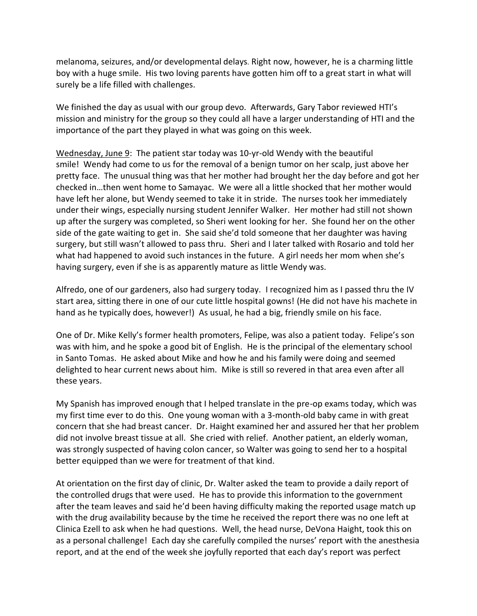melanoma, seizures, and/or developmental delays. Right now, however, he is a charming little boy with a huge smile. His two loving parents have gotten him off to a great start in what will surely be a life filled with challenges.

We finished the day as usual with our group devo. Afterwards, Gary Tabor reviewed HTI's mission and ministry for the group so they could all have a larger understanding of HTI and the importance of the part they played in what was going on this week.

Wednesday, June 9: The patient star today was 10-yr-old Wendy with the beautiful smile! Wendy had come to us for the removal of a benign tumor on her scalp, just above her pretty face. The unusual thing was that her mother had brought her the day before and got her checked in…then went home to Samayac. We were all a little shocked that her mother would have left her alone, but Wendy seemed to take it in stride. The nurses took her immediately under their wings, especially nursing student Jennifer Walker. Her mother had still not shown up after the surgery was completed, so Sheri went looking for her. She found her on the other side of the gate waiting to get in. She said she'd told someone that her daughter was having surgery, but still wasn't allowed to pass thru. Sheri and I later talked with Rosario and told her what had happened to avoid such instances in the future. A girl needs her mom when she's having surgery, even if she is as apparently mature as little Wendy was.

Alfredo, one of our gardeners, also had surgery today. I recognized him as I passed thru the IV start area, sitting there in one of our cute little hospital gowns! (He did not have his machete in hand as he typically does, however!) As usual, he had a big, friendly smile on his face.

One of Dr. Mike Kelly's former health promoters, Felipe, was also a patient today. Felipe's son was with him, and he spoke a good bit of English. He is the principal of the elementary school in Santo Tomas. He asked about Mike and how he and his family were doing and seemed delighted to hear current news about him. Mike is still so revered in that area even after all these years.

My Spanish has improved enough that I helped translate in the pre-op exams today, which was my first time ever to do this. One young woman with a 3-month-old baby came in with great concern that she had breast cancer. Dr. Haight examined her and assured her that her problem did not involve breast tissue at all. She cried with relief. Another patient, an elderly woman, was strongly suspected of having colon cancer, so Walter was going to send her to a hospital better equipped than we were for treatment of that kind.

At orientation on the first day of clinic, Dr. Walter asked the team to provide a daily report of the controlled drugs that were used. He has to provide this information to the government after the team leaves and said he'd been having difficulty making the reported usage match up with the drug availability because by the time he received the report there was no one left at Clinica Ezell to ask when he had questions. Well, the head nurse, DeVona Haight, took this on as a personal challenge! Each day she carefully compiled the nurses' report with the anesthesia report, and at the end of the week she joyfully reported that each day's report was perfect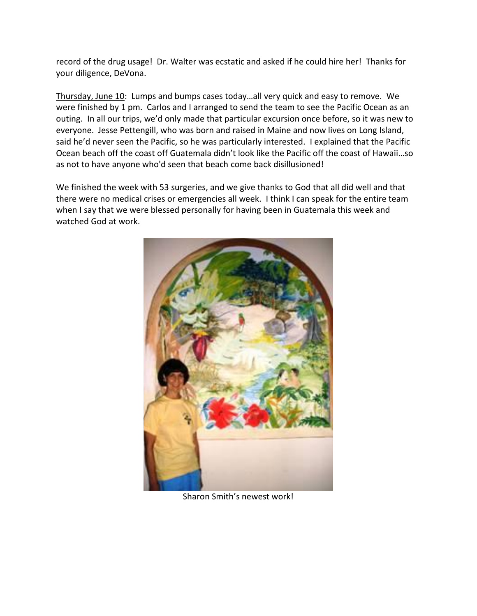record of the drug usage! Dr. Walter was ecstatic and asked if he could hire her! Thanks for your diligence, DeVona.

Thursday, June 10: Lumps and bumps cases today…all very quick and easy to remove. We were finished by 1 pm. Carlos and I arranged to send the team to see the Pacific Ocean as an outing. In all our trips, we'd only made that particular excursion once before, so it was new to everyone. Jesse Pettengill, who was born and raised in Maine and now lives on Long Island, said he'd never seen the Pacific, so he was particularly interested. I explained that the Pacific Ocean beach off the coast off Guatemala didn't look like the Pacific off the coast of Hawaii…so as not to have anyone who'd seen that beach come back disillusioned!

We finished the week with 53 surgeries, and we give thanks to God that all did well and that there were no medical crises or emergencies all week. I think I can speak for the entire team when I say that we were blessed personally for having been in Guatemala this week and watched God at work.



Sharon Smith's newest work!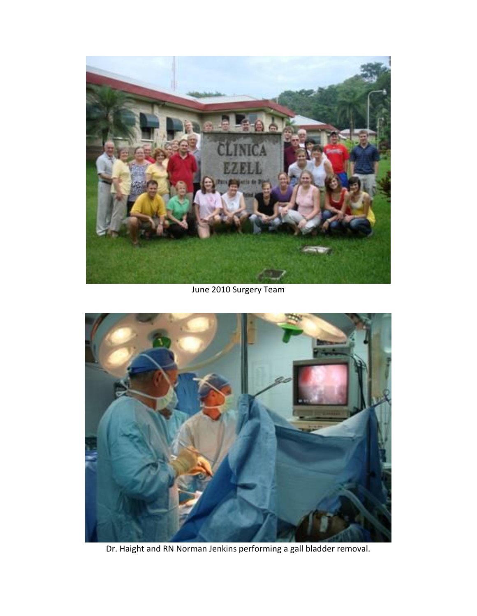

June 2010 Surgery Team



Dr. Haight and RN Norman Jenkins performing a gall bladder removal.